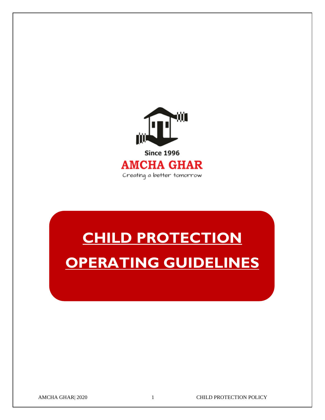

# **CHILD PROTECTION OPERATING GUIDELINES**

AMCHA GHAR| 2020 1 1 CHILD PROTECTION POLICY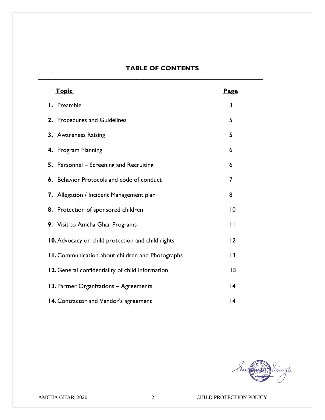# **TABLE OF CONTENTS**

 $\mathcal{L}_\text{max}$  and  $\mathcal{L}_\text{max}$  and  $\mathcal{L}_\text{max}$  and  $\mathcal{L}_\text{max}$  and  $\mathcal{L}_\text{max}$  and  $\mathcal{L}_\text{max}$ 

| <b>Topic</b>                                             | <u>Page</u>  |
|----------------------------------------------------------|--------------|
| I. Preamble                                              | 3            |
| 2. Procedures and Guidelines                             | 5            |
| 3. Awareness Raising                                     | 5            |
| 4. Program Planning                                      | 6            |
| 5. Personnel – Screening and Recruiting                  | 6            |
| 6. Behavior Protocols and code of conduct                | 7            |
| 7. Allegation / Incident Management plan                 | 8            |
| 8. Protection of sponsored children                      | 10           |
| 9. Visit to Amcha Ghar Programs                          | $\mathbf{H}$ |
| <b>10.</b> Advocacy on child protection and child rights | 12           |
| <b>II. Communication about children and Photographs</b>  | 13           |
| 12. General confidentiality of child information         | 3            |
| 13. Partner Organizations - Agreements                   | 4            |
| 14. Contractor and Vendor's agreement                    | 4            |



AMCHA GHAR| 2020 2 CHILD PROTECTION POLICY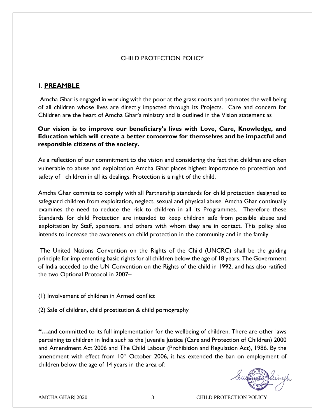# CHILD PROTECTION POLICY

### 1. **PREAMBLE**

Amcha Ghar is engaged in working with the poor at the grass roots and promotes the well being of all children whose lives are directly impacted through its Projects. Care and concern for Children are the heart of Amcha Ghar's ministry and is outlined in the Vision statement as

**Our vision is to improve our beneficiary's lives with Love, Care, Knowledge, and Education which will create a better tomorrow for themselves and be impactful and responsible citizens of the society.**

As a reflection of our commitment to the vision and considering the fact that children are often vulnerable to abuse and exploitation Amcha Ghar places highest importance to protection and safety of children in all its dealings. Protection is a right of the child.

Amcha Ghar commits to comply with all Partnership standards for child protection designed to safeguard children from exploitation, neglect, sexual and physical abuse. Amcha Ghar continually examines the need to reduce the risk to children in all its Programmes. Therefore these Standards for child Protection are intended to keep children safe from possible abuse and exploitation by Staff, sponsors, and others with whom they are in contact. This policy also intends to increase the awareness on child protection in the community and in the family.

The United Nations Convention on the Rights of the Child (UNCRC) shall be the guiding principle for implementing basic rights for all children below the age of 18 years. The Government of India acceded to the UN Convention on the Rights of the child in 1992, and has also ratified the two Optional Protocol in 2007–

- (1) Involvement of children in Armed conflict
- (2) Sale of children, child prostitution & child pornography

**"…**and committed to its full implementation for the wellbeing of children. There are other laws pertaining to children in India such as the Juvenile Justice (Care and Protection of Children) 2000 and Amendment Act 2006 and The Child Labour (Prohibition and Regulation Act), 1986. By the amendment with effect from  $10<sup>th</sup>$  October 2006, it has extended the ban on employment of children below the age of 14 years in the area of:

AMCHA GHAR| 2020 3 CHILD PROTECTION POLICY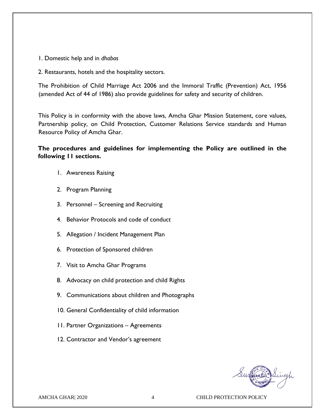- 1. Domestic help and in *dhabas*
- 2. Restaurants, hotels and the hospitality sectors.

The Prohibition of Child Marriage Act 2006 and the Immoral Traffic (Prevention) Act, 1956 (amended Act of 44 of 1986) also provide guidelines for safety and security of children.

This Policy is in conformity with the above laws, Amcha Ghar Mission Statement, core values, Partnership policy, on Child Protection, Customer Relations Service standards and Human Resource Policy of Amcha Ghar.

# **The procedures and guidelines for implementing the Policy are outlined in the following 11 sections.**

- 1. Awareness Raising
- 2. Program Planning
- 3. Personnel Screening and Recruiting
- 4. Behavior Protocols and code of conduct
- 5. Allegation / Incident Management Plan
- 6. Protection of Sponsored children
- 7. Visit to Amcha Ghar Programs
- 8. Advocacy on child protection and child Rights
- 9. Communications about children and Photographs
- 10. General Confidentiality of child information
- 11. Partner Organizations Agreements
- 12. Contractor and Vendor's agreement



AMCHA GHAR| 2020 4 CHILD PROTECTION POLICY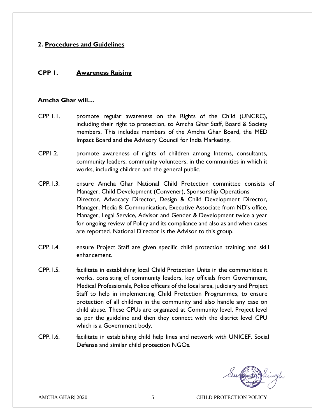#### **2. Procedures and Guidelines**

### **CPP 1. Awareness Raising**

#### **Amcha Ghar will…**

- CPP 1.1. promote regular awareness on the Rights of the Child (UNCRC), including their right to protection, to Amcha Ghar Staff, Board & Society members. This includes members of the Amcha Ghar Board, the MED Impact Board and the Advisory Council for India Marketing.
- CPP1.2. promote awareness of rights of children among Interns, consultants, community leaders, community volunteers, in the communities in which it works, including children and the general public.
- CPP.1.3. ensure Amcha Ghar National Child Protection committee consists of Manager, Child Development (Convener), Sponsorship Operations Director, Advocacy Director, Design & Child Development Director, Manager, Media & Communication, Executive Associate from ND's office, Manager, Legal Service, Advisor and Gender & Development twice a year for ongoing review of Policy and its compliance and also as and when cases are reported. National Director is the Advisor to this group.
- CPP.1.4. ensure Project Staff are given specific child protection training and skill enhancement.
- CPP.1.5. facilitate in establishing local Child Protection Units in the communities it works, consisting of community leaders, key officials from Government, Medical Professionals, Police officers of the local area, judiciary and Project Staff to help in implementing Child Protection Programmes, to ensure protection of all children in the community and also handle any case on child abuse. These CPUs are organized at Community level, Project level as per the guideline and then they connect with the district level CPU which is a Government body.
- CPP.1.6. facilitate in establishing child help lines and network with UNICEF, Social Defense and similar child protection NGOs.

AMCHA GHAR| 2020 5 CHILD PROTECTION POLICY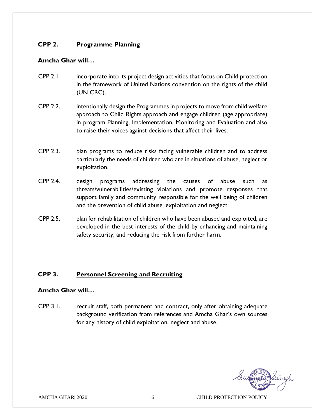# **CPP 2. Programme Planning**

### **Amcha Ghar will…**

- CPP 2.1 incorporate into its project design activities that focus on Child protection in the framework of United Nations convention on the rights of the child (UN CRC).
- CPP 2.2. intentionally design the Programmes in projects to move from child welfare approach to Child Rights approach and engage children (age appropriate) in program Planning, Implementation, Monitoring and Evaluation and also to raise their voices against decisions that affect their lives.
- CPP 2.3. plan programs to reduce risks facing vulnerable children and to address particularly the needs of children who are in situations of abuse, neglect or exploitation.
- CPP 2.4. design programs addressing the causes of abuse such as threats/vulnerabilities/existing violations and promote responses that support family and community responsible for the well being of children and the prevention of child abuse, exploitation and neglect.
- CPP 2.5. plan for rehabilitation of children who have been abused and exploited, are developed in the best interests of the child by enhancing and maintaining safety security, and reducing the risk from further harm.

# **CPP 3. Personnel Screening and Recruiting**

# **Amcha Ghar will…**

CPP 3.1. recruit staff, both permanent and contract, only after obtaining adequate background verification from references and Amcha Ghar's own sources for any history of child exploitation, neglect and abuse.



AMCHA GHAR| 2020 6 GHAR| 2020 6 CHILD PROTECTION POLICY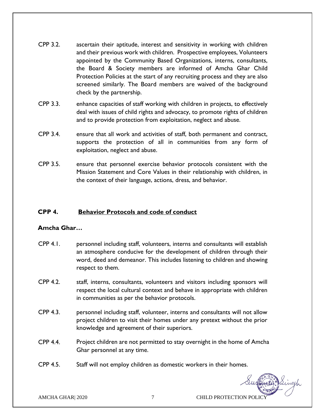- CPP 3.2. ascertain their aptitude, interest and sensitivity in working with children and their previous work with children. Prospective employees, Volunteers appointed by the Community Based Organizations, interns, consultants, the Board & Society members are informed of Amcha Ghar Child Protection Policies at the start of any recruiting process and they are also screened similarly. The Board members are waived of the background check by the partnership.
- CPP 3.3. enhance capacities of staff working with children in projects, to effectively deal with issues of child rights and advocacy, to promote rights of children and to provide protection from exploitation, neglect and abuse.
- CPP 3.4. ensure that all work and activities of staff, both permanent and contract, supports the protection of all in communities from any form of exploitation, neglect and abuse.
- CPP 3.5. ensure that personnel exercise behavior protocols consistent with the Mission Statement and Core Values in their relationship with children, in the context of their language, actions, dress, and behavior.

# **CPP 4. Behavior Protocols and code of conduct**

#### **Amcha Ghar…**

- CPP 4.1. personnel including staff, volunteers, interns and consultants will establish an atmosphere conducive for the development of children through their word, deed and demeanor. This includes listening to children and showing respect to them.
- CPP 4.2. staff, interns, consultants, volunteers and visitors including sponsors will respect the local cultural context and behave in appropriate with children in communities as per the behavior protocols.
- CPP 4.3. personnel including staff, volunteer, interns and consultants will not allow project children to visit their homes under any pretext without the prior knowledge and agreement of their superiors.
- CPP 4.4. Project children are not permitted to stay overnight in the home of Amcha Ghar personnel at any time.
- CPP 4.5. Staff will not employ children as domestic workers in their homes.

AMCHA GHAR| 2020 7 CHILD PROTECTION POLICY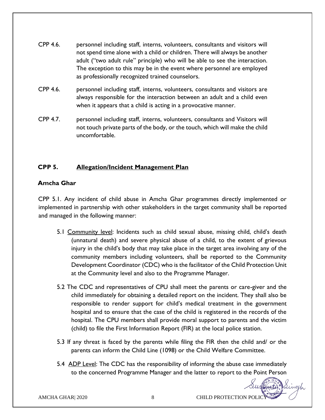- CPP 4.6. personnel including staff, interns, volunteers, consultants and visitors will not spend time alone with a child or children. There will always be another adult ("two adult rule" principle) who will be able to see the interaction. The exception to this may be in the event where personnel are employed as professionally recognized trained counselors.
- CPP 4.6. personnel including staff, interns, volunteers, consultants and visitors are always responsible for the interaction between an adult and a child even when it appears that a child is acting in a provocative manner.
- CPP 4.7. personnel including staff, interns, volunteers, consultants and Visitors will not touch private parts of the body, or the touch, which will make the child uncomfortable.

# **CPP 5. Allegation/Incident Management Plan**

### **Amcha Ghar**

CPP 5.1. Any incident of child abuse in Amcha Ghar programmes directly implemented or implemented in partnership with other stakeholders in the target community shall be reported and managed in the following manner:

- 5.1 Community level: Incidents such as child sexual abuse, missing child, child's death (unnatural death) and severe physical abuse of a child, to the extent of grievous injury in the child's body that may take place in the target area involving any of the community members including volunteers, shall be reported to the Community Development Coordinator (CDC) who is the facilitator of the Child Protection Unit at the Community level and also to the Programme Manager.
- 5.2 The CDC and representatives of CPU shall meet the parents or care-giver and the child immediately for obtaining a detailed report on the incident. They shall also be responsible to render support for child's medical treatment in the government hospital and to ensure that the case of the child is registered in the records of the hospital. The CPU members shall provide moral support to parents and the victim (child) to file the First Information Report (FIR) at the local police station.
- 5.3 If any threat is faced by the parents while filing the FIR then the child and/ or the parents can inform the Child Line (1098) or the Child Welfare Committee.
- 5.4ADP Level: The CDC has the responsibility of informing the abuse case immediately to the concerned Programme Manager and the latter to report to the Point Person

AMCHA GHAR| 2020 8 CHILD PROTECTION POLIC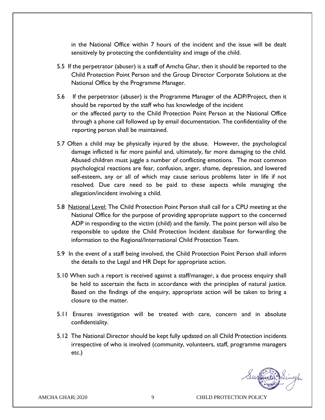in the National Office within 7 hours of the incident and the issue will be dealt sensitively by protecting the confidentiality and image of the child.

- 5.5 If the perpetrator (abuser) is a staff of Amcha Ghar, then it should be reported to the Child Protection Point Person and the Group Director Corporate Solutions at the National Office by the Programme Manager.
- 5.6 If the perpetrator (abuser) is the Programme Manager of the ADP/Project, then it should be reported by the staff who has knowledge of the incident or the affected party to the Child Protection Point Person at the National Office through a phone call followed up by email documentation. The confidentiality of the reporting person shall be maintained.
- 5.7 Often a child may be physically injured by the abuse. However, the psychological damage inflicted is far more painful and, ultimately, far more damaging to the child. Abused children must juggle a number of conflicting emotions. The most common psychological reactions are fear, confusion, anger, shame, depression, and lowered self-esteem, any or all of which may cause serious problems later in life if not resolved*.* Due care need to be paid to these aspects while managing the allegation/incident involving a child.
- 5.8 National Level: The Child Protection Point Person shall call for a CPU meeting at the National Office for the purpose of providing appropriate support to the concerned ADP in responding to the victim (child) and the family. The point person will also be responsible to update the Child Protection Incident database for forwarding the information to the Regional/International Child Protection Team.
- 5.9 In the event of a staff being involved, the Child Protection Point Person shall inform the details to the Legal and HR Dept for appropriate action.
- 5.10 When such a report is received against a staff/manager, a due process enquiry shall be held to ascertain the facts in accordance with the principles of natural justice. Based on the findings of the enquiry, appropriate action will be taken to bring a closure to the matter.
- 5.11 Ensures investigation will be treated with care, concern and in absolute confidentiality.
- 5.12 The National Director should be kept fully updated on all Child Protection incidents irrespective of who is involved (community, volunteers, staff, programme managers etc.)

AMCHA GHAR| 2020 9 CHILD PROTECTION POLICY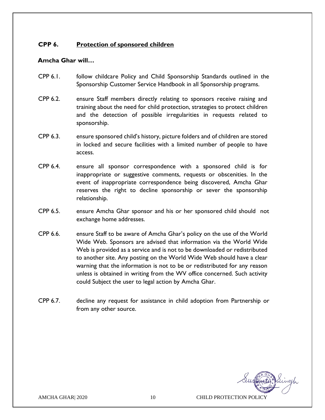## **CPP 6. Protection of sponsored children**

#### **Amcha Ghar will…**

- CPP 6.1. follow childcare Policy and Child Sponsorship Standards outlined in the Sponsorship Customer Service Handbook in all Sponsorship programs.
- CPP 6.2. ensure Staff members directly relating to sponsors receive raising and training about the need for child protection, strategies to protect children and the detection of possible irregularities in requests related to sponsorship.
- CPP 6.3. ensure sponsored child's history, picture folders and of children are stored in locked and secure facilities with a limited number of people to have access.
- CPP 6.4. ensure all sponsor correspondence with a sponsored child is for inappropriate or suggestive comments, requests or obscenities. In the event of inappropriate correspondence being discovered, Amcha Ghar reserves the right to decline sponsorship or sever the sponsorship relationship.
- CPP 6.5. ensure Amcha Ghar sponsor and his or her sponsored child should not exchange home addresses.
- CPP 6.6. ensure Staff to be aware of Amcha Ghar's policy on the use of the World Wide Web. Sponsors are advised that information via the World Wide Web is provided as a service and is not to be downloaded or redistributed to another site. Any posting on the World Wide Web should have a clear warning that the information is not to be or redistributed for any reason unless is obtained in writing from the WV office concerned. Such activity could Subject the user to legal action by Amcha Ghar.
- CPP 6.7. decline any request for assistance in child adoption from Partnership or from any other source.



AMCHA GHAR| 2020 10 10 CHILD PROTECTION POLIC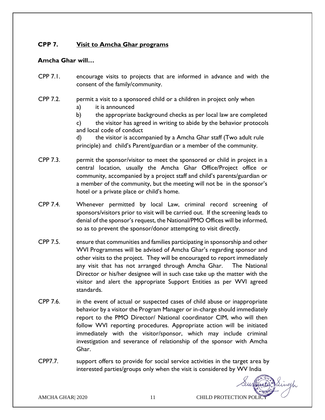# **CPP 7. Visit to Amcha Ghar programs**

#### **Amcha Ghar will…**

- CPP 7.1. encourage visits to projects that are informed in advance and with the consent of the family/community.
- CPP 7.2. permit a visit to a sponsored child or a children in project only when
	- a) it is announced
	- b) the appropriate background checks as per local law are completed
	- c) the visitor has agreed in writing to abide by the behavior protocols and local code of conduct

d) the visitor is accompanied by a Amcha Ghar staff (Two adult rule principle) and child's Parent/guardian or a member of the community.

- CPP 7.3. permit the sponsor/visitor to meet the sponsored or child in project in a central location, usually the Amcha Ghar Office/Project office or community, accompanied by a project staff and child's parents/guardian or a member of the community, but the meeting will not be in the sponsor's hotel or a private place or child's home.
- CPP 7.4. Whenever permitted by local Law, criminal record screening of sponsors/visitors prior to visit will be carried out. If the screening leads to denial of the sponsor's request, the National/PMO Offices will be informed, so as to prevent the sponsor/donor attempting to visit directly.
- CPP 7.5. ensure that communities and families participating in sponsorship and other WVI Programmes will be advised of Amcha Ghar's regarding sponsor and other visits to the project. They will be encouraged to report immediately any visit that has not arranged through Amcha Ghar. The National Director or his/her designee will in such case take up the matter with the visitor and alert the appropriate Support Entities as per WVI agreed standards.
- CPP 7.6. in the event of actual or suspected cases of child abuse or inappropriate behavior by a visitor the Program Manager or in-charge should immediately report to the PMO Director/ National coordinator CIM, who will then follow WVI reporting procedures. Appropriate action will be initiated immediately with the visitor/sponsor, which may include criminal investigation and severance of relationship of the sponsor with Amcha Ghar.
- CPP7.7. support offers to provide for social service activities in the target area by interested parties/groups only when the visit is considered by WV India

AMCHA GHAR| 2020 11 CHILD PROTECTION POLICY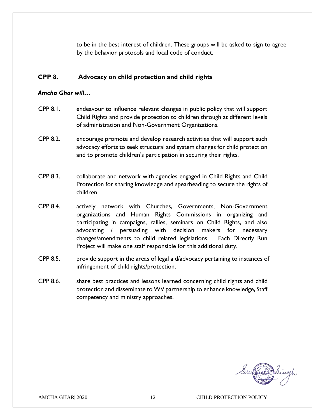to be in the best interest of children. These groups will be asked to sign to agree by the behavior protocols and local code of conduct.

### **CPP 8. Advocacy on child protection and child rights**

#### *Amcha Ghar will…*

- CPP 8.1. endeavour to influence relevant changes in public policy that will support Child Rights and provide protection to children through at different levels of administration and Non-Government Organizations.
- CPP 8.2. encourage promote and develop research activities that will support such advocacy efforts to seek structural and system changes for child protection and to promote children's participation in securing their rights.
- CPP 8.3. collaborate and network with agencies engaged in Child Rights and Child Protection for sharing knowledge and spearheading to secure the rights of children.
- CPP 8.4. actively network with Churches, Governments, Non-Government organizations and Human Rights Commissions in organizing and participating in campaigns, rallies, seminars on Child Rights, and also advocating / persuading with decision makers for necessary changes/amendments to child related legislations. Each Directly Run Project will make one staff responsible for this additional duty.
- CPP 8.5. provide support in the areas of legal aid/advocacy pertaining to instances of infringement of child rights/protection.
- CPP 8.6. share best practices and lessons learned concerning child rights and child protection and disseminate to WV partnership to enhance knowledge, Staff competency and ministry approaches.

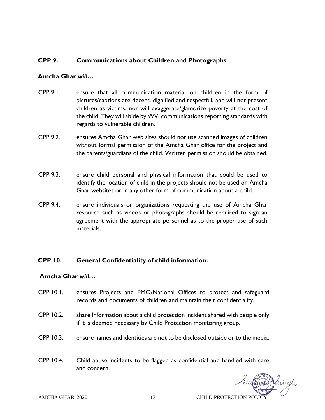## **CPP 9. Communications about Children and Photographs**

#### **Amcha Ghar** *will…*

- CPP 9.1. ensure that all communication material on children in the form of pictures/captions are decent, dignified and respectful, and will not present children as victims, nor will exaggerate/glamorize poverty at the cost of the child. They will abide by WVI communications reporting standards with regards to vulnerable children.
- CPP 9.2. ensures Amcha Ghar web sites should not use scanned images of children without formal permission of the Amcha Ghar office for the project and the parents/guardians of the child. Written permission should be obtained.
- CPP 9.3. ensure child personal and physical information that could be used to identify the location of child in the projects should not be used on Amcha Ghar websites or in any other form of communication about a child.
- CPP 9.4. ensure individuals or organizations requesting the use of Amcha Ghar resource such as videos or photographs should be required to sign an agreement with the appropriate personnel as to the proper use of such materials.

#### **CPP 10. General Confidentiality of child information:**

#### **Amcha Ghar** *will…*

- CPP 10.1. ensures Projects and PMO/National Offices to protect and safeguard records and documents of children and maintain their confidentiality.
- CPP 10.2. share Information about a child protection incident shared with people only if it is deemed necessary by Child Protection monitoring group.
- CPP 10.3. ensure names and identities are not to be disclosed outside or to the media.
- CPP 10.4. Child abuse incidents to be flagged as confidential and handled with care and concern.

AMCHA GHAR| 2020 13 CHILD PROTECTION POLICY